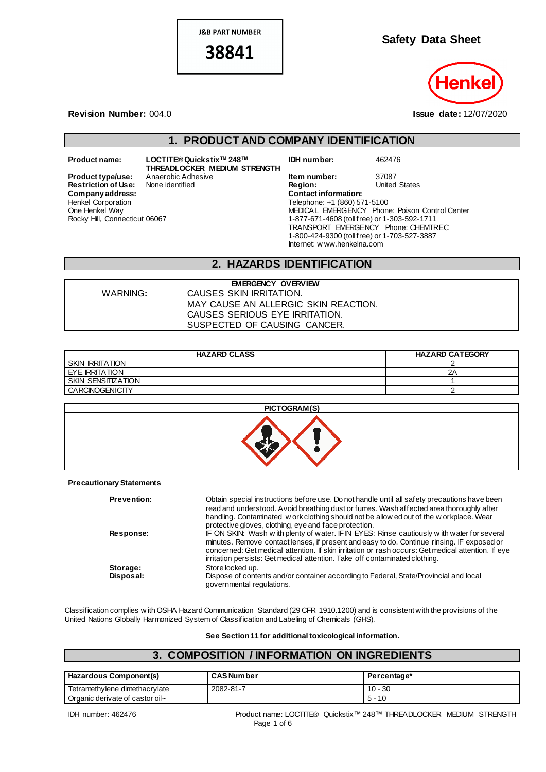**J&B PART NUMBER** 

38841

**Safety Data Sheet**



**Revision Number:** 004.0 **Issue date:** 12/07/2020

## **1. PRODUCT AND COMPANY IDENTIFICATION**

 $Company address:$ Henkel Corporation One Henkel Way Rocky Hill, Connecticut 06067

**Product name: LOCTITE® Quickstix™ 248™ THREADLOCKER MEDIUM STRENGTH Product type/use:** Anaerobic Adhesive **Item number:** 37087<br> **Restriction of Use:** None identified **Integral Property** Region: United States **Restriction of Use:** None identified **Region:** Region: Region: United States: Company address:

**IDH number:** 462476

Telephone: +1 (860) 571-5100 MEDICAL EMERGENCY Phone: Poison Control Center 1-877-671-4608 (toll free) or 1-303-592-1711 TRANSPORT EMERGENCY Phone: CHEMTREC 1-800-424-9300 (toll free) or 1-703-527-3887 Internet: w ww.henkelna.com

### **2. HAZARDS IDENTIFICATION**

| <b>EMERGENCY OVERVIEW</b> |                                      |  |
|---------------------------|--------------------------------------|--|
| WARNING:                  | CAUSES SKIN IRRITATION.              |  |
|                           | MAY CAUSE AN ALLERGIC SKIN REACTION. |  |
|                           | CAUSES SERIOUS EYE IRRITATION.       |  |
|                           | SUSPECTED OF CAUSING CANCER.         |  |

| <b>HAZARD CLASS</b>    | <b>HAZARD CATEGORY</b> |
|------------------------|------------------------|
| <b>SKIN IRRITATION</b> |                        |
| EYE IRRITATION         | ZΑ                     |
| SKIN SENSITIZATION     |                        |
| <b>CARCINOGENICITY</b> |                        |



**Precautionary Statements**

| <b>Prevention:</b> | Obtain special instructions before use. Do not handle until all safety precautions have been<br>read and understood. Avoid breathing dust or fumes. Wash affected area thoroughly after<br>handling. Contaminated w ork clothing should not be allow ed out of the w or kplace. Wear<br>protective gloves, clothing, eye and face protection.                                 |
|--------------------|-------------------------------------------------------------------------------------------------------------------------------------------------------------------------------------------------------------------------------------------------------------------------------------------------------------------------------------------------------------------------------|
| <b>Response:</b>   | IF ON SKIN: Wash with plenty of water. IF IN EYES: Rinse cautiously with water for several<br>minutes. Remove contact lenses, if present and easy to do. Continue rinsing. IF exposed or<br>concerned: Get medical attention. If skin irritation or rash occurs: Get medical attention. If eye<br>irritation persists: Get medical attention. Take off contaminated clothing. |
| Storage:           | Store locked up.                                                                                                                                                                                                                                                                                                                                                              |
| Disposal:          | Dispose of contents and/or container according to Federal, State/Provincial and local<br>governmental regulations.                                                                                                                                                                                                                                                            |

Classification complies w ith OSHA Hazard Communication Standard (29 CFR 1910.1200) and is consistent with the provisions of the United Nations Globally Harmonized System of Classification and Labeling of Chemicals (GHS).

**See Section 11 for additional toxicological information.**

# **3. COMPOSITION / INFORMATION ON INGREDIENTS**

| <b>Hazardous Component(s)</b>   | <b>CAS Number</b> | Percentage* |
|---------------------------------|-------------------|-------------|
| Tetramethylene dimethacrylate   | 2082-81-7         | $10 - 30$   |
| Organic derivate of castor oil~ |                   | $5 - 10$    |

IDH number: 462476 Product name: LOCTITE® Quickstix™ 248™ THREADLOCKER MEDIUM STRENGTH Page 1 of 6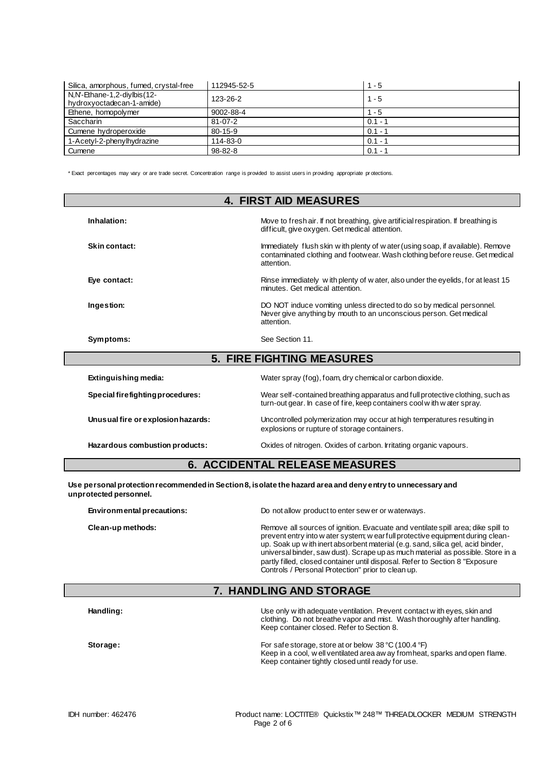| Silica, amorphous, fumed, crystal-free                   | 112945-52-5   | $1 - 5$   |
|----------------------------------------------------------|---------------|-----------|
| N.N'-Ethane-1,2-divibis(12-<br>hydroxyoctadecan-1-amide) | 123-26-2      | $1 - 5$   |
| Ethene, homopolymer                                      | 9002-88-4     | $1 - 5$   |
| Saccharin                                                | $81 - 07 - 2$ | $0.1 - 1$ |
| Cumene hydroperoxide                                     | 80-15-9       | $0.1 - 1$ |
| 1-Acetyl-2-phenylhydrazine                               | 114-83-0      | $0.1 - 1$ |
| Cumene                                                   | $98 - 82 - 8$ | $0.1 - 1$ |

\* Exact percentages may vary or are trade secret. Concentration range is provided to assist users in providing appropriate pr otections.

| <b>4. FIRST AID MEASURES</b>     |                                                                                                                                                                               |  |
|----------------------------------|-------------------------------------------------------------------------------------------------------------------------------------------------------------------------------|--|
| Inhalation:                      | Move to fresh air. If not breathing, give artificial respiration. If breathing is<br>difficult, give oxygen. Get medical attention.                                           |  |
| Skin contact:                    | Immediately flush skin w ith plenty of w ater (using soap, if available). Remove<br>contaminated clothing and footwear. Wash clothing before reuse. Get medical<br>attention. |  |
| Eye contact:                     | Rinse immediately with plenty of water, also under the eyelids, for at least 15<br>minutes. Get medical attention.                                                            |  |
| Ingestion:                       | DO NOT induce vomiting unless directed to do so by medical personnel.<br>Never give anything by mouth to an unconscious person. Get medical<br>attention.                     |  |
| Symptoms:                        | See Section 11.                                                                                                                                                               |  |
| <b>5. FIRE FIGHTING MEASURES</b> |                                                                                                                                                                               |  |

| <u>J. I INL I IVITI ING MEADONED</u> |                                                                                                                                                         |  |
|--------------------------------------|---------------------------------------------------------------------------------------------------------------------------------------------------------|--|
| Extinguishing media:                 | Water spray (fog), foam, dry chemical or carbon dioxide.                                                                                                |  |
| Special firefighting procedures:     | Wear self-contained breathing apparatus and full protective clothing, such as<br>turn-out gear. In case of fire, keep containers cool with water spray. |  |
| Unusual fire or explosion hazards:   | Uncontrolled polymerization may occur at high temperatures resulting in<br>explosions or rupture of storage containers.                                 |  |
| Hazardous combustion products:       | Oxides of nitrogen. Oxides of carbon. Irritating organic vapours.                                                                                       |  |
|                                      |                                                                                                                                                         |  |

### **6. ACCIDENTAL RELEASE MEASURES**

**Use personal protection recommended in Section 8, isolate the hazard area and deny entry to unnecessary and unprotected personnel.**

**Environmental precautions:** Do not allow product to enter sew er or waterways.

**Clean-up methods:** Remove all sources of ignition. Evacuate and ventilate spill area; dike spill to prevent entry into w ater system; w ear full protective equipment during cleanup. Soak up w ith inert absorbent material (e.g. sand, silica gel, acid binder, universal binder, saw dust). Scrape up as much material as possible. Store in a partly filled, closed container until disposal. Refer to Section 8 "Exposure Controls / Personal Protection" prior to clean up.

#### **7. HANDLING AND STORAGE**

| Handling: | Use only with adequate ventilation. Prevent contact with eyes, skin and<br>clothing. Do not breathe vapor and mist. Wash thoroughly after handling.<br>Keep container closed. Refer to Section 8.             |
|-----------|---------------------------------------------------------------------------------------------------------------------------------------------------------------------------------------------------------------|
| Storage:  | For safe storage, store at or below 38 $\degree$ C (100.4 $\degree$ F)<br>Keep in a cool, w ell ventilated area aw ay from heat, sparks and open flame.<br>Keep container tightly closed until ready for use. |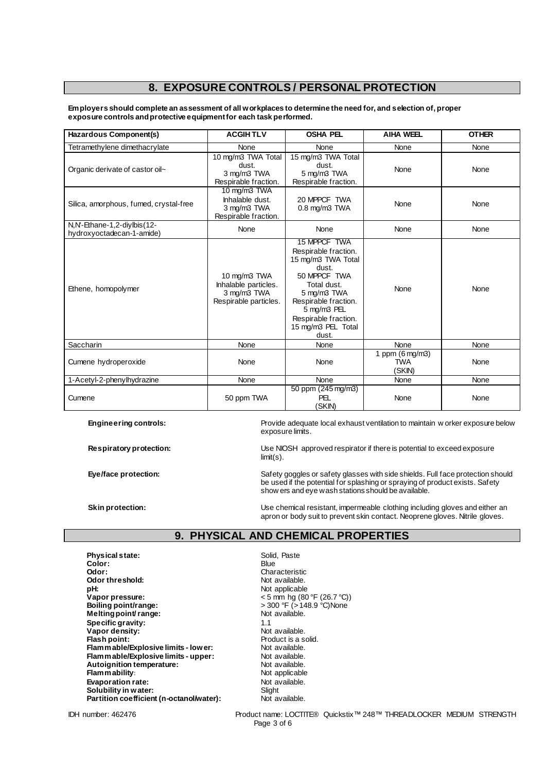# **8. EXPOSURE CONTROLS / PERSONAL PROTECTION**

**Employers should complete an assessment of all workplaces to determine the need for, and selection of, proper exposure controls and protective equipment for each task performed.**

| Hazardous Component(s)                                   | <b>ACGIHTLV</b>                                                              | <b>OSHA PEL</b>                                                                                                                                                                                                 | <b>AIHA WEEL</b>                        | <b>OTHER</b> |
|----------------------------------------------------------|------------------------------------------------------------------------------|-----------------------------------------------------------------------------------------------------------------------------------------------------------------------------------------------------------------|-----------------------------------------|--------------|
| Tetramethylene dimethacrylate                            | None                                                                         | None                                                                                                                                                                                                            | None                                    | None         |
| Organic derivate of castor oil~                          | 10 mg/m3 TWA Total<br>dust.<br>3 mg/m3 TWA<br>Respirable fraction.           | 15 mg/m3 TWA Total<br>dust.<br>5 mg/m3 TWA<br>Respirable fraction.                                                                                                                                              | None                                    | None         |
| Silica, amorphous, fumed, crystal-free                   | 10 mg/m3 TWA<br>Inhalable dust.<br>3 mg/m3 TWA<br>Respirable fraction.       | 20 MPPCF TWA<br>$0.8$ mg/m $3$ TWA                                                                                                                                                                              | None                                    | None         |
| N,N'-Ethane-1,2-diylbis(12-<br>hydroxyoctadecan-1-amide) | None                                                                         | None                                                                                                                                                                                                            | None                                    | None         |
| Ethene, homopolymer                                      | 10 mg/m3 TWA<br>Inhalable particles.<br>3 mg/m3 TWA<br>Respirable particles. | 15 MPPCF TWA<br>Respirable fraction.<br>15 mg/m3 TWA Total<br>dust.<br>50 MPPCF TWA<br>Total dust.<br>5 mg/m3 TWA<br>Respirable fraction.<br>5 mg/m3 PEL<br>Respirable fraction.<br>15 mg/m3 PEL Total<br>dust. | None                                    | None         |
| Saccharin                                                | None                                                                         | None                                                                                                                                                                                                            | None                                    | None         |
| Cumene hydroperoxide                                     | None                                                                         | None                                                                                                                                                                                                            | 1 ppm (6 mg/m3)<br><b>TWA</b><br>(SKIN) | None         |
| 1-Acetyl-2-phenylhydrazine                               | None                                                                         | <b>None</b>                                                                                                                                                                                                     | None                                    | None         |
| Cumene                                                   | 50 ppm TWA                                                                   | 50 ppm (245 mg/m3)<br>PEL<br>(SKIN)                                                                                                                                                                             | None                                    | None         |

**Engineering controls:** Provide adequate local exhaust ventilation to maintain w orker exposure below exposure limits.

**Respiratory protection:** Use NIOSH approved respirator if there is potential to exceed exposure limit(s).

Eye/face protection: Safety goggles or safety glasses with side shields. Full face protection should be used if the potential for splashing or spraying of product exists. Safety show ers and eye wash stations should be available.

**Skin protection:** Use chemical resistant, impermeable clothing including gloves and either an apron or body suit to prevent skin contact. Neoprene gloves. Nitrile gloves.

## **9. PHYSICAL AND CHEMICAL PROPERTIES**

**Physical state:** Solid, Paste Color: Solid, Paste Color: Solid, Paste Color: Solid, Paste Color: Solid, Paste Color: Solid, Paste Color: Solid, Paste Color: Solid, Paste Color: Solid, Paste Color: Solid, Paste Color: Soli Color:<br>Odor: **Odor threshold:**<br>pH: **pH:**<br> **Vapor pressure:**<br>
Vapor pressure:<br>  $\frac{1}{2}$  A and  $\frac{1}{2}$  A and  $\frac{1}{2}$  A and  $\frac{1}{2}$  A and  $\frac{1}{2}$  A and  $\frac{1}{2}$  A and  $\frac{1}{2}$  A and  $\frac{1}{2}$  A and  $\frac{1}{2}$  A and  $\frac{1}{2}$  A and  $\frac{1}{2}$  A and  $\frac$ **Vapor pressure:**  $\leftarrow$  5 mm hg (80 °F (26.7 °C))<br> **Boiling point/range:**  $\leftarrow$  5 00 °F (> 148.9 °C)None **Melting point/ range: Specific gravity:**  $\begin{array}{ccc} 1.1 & 1.1 \\ \hline \end{array}$  **Specific gravity:**  $\begin{array}{ccc} 1.1 & 1.1 \\ \hline \end{array}$  Not available. Vapor density:<br>Flash point: **Flammable/Explosive limits - lower:** Not available.<br> **Flammable/Explosive limits - upper:** Not available. **Flammable/Explosive limits - upper:** Not available.<br> **Autoignition temperature:** Not available. Autoignition temperature:<br>Flam mability: **Evaporation rate:** Not available. Not available to the Not available.<br>**Solubility in water:** Not available. Not available. **Solubility in water:** Solubility in water:<br> **Partition coefficient (n-octanol/water):** Not available. **Partition coefficient (n-octanol/water):** 

Characteristic<br>Not available. **Boiling Point Point Property**<br>Not available. **Froduct is a solid.**<br>Not available. Not applicable<br>Not available.

IDH number: 462476 Product name: LOCTITE® Quickstix™ 248™ THREADLOCKER MEDIUM STRENGTH Page 3 of 6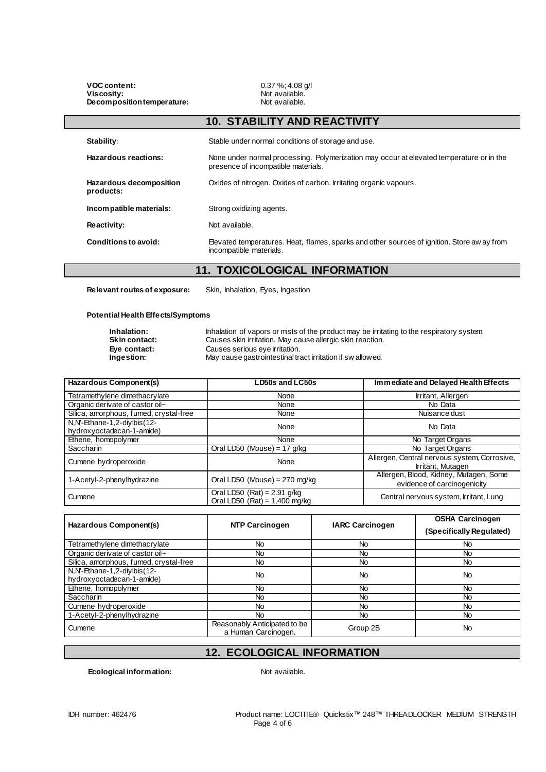**VOC content:** 0.37 %; 4.08 g/l<br> **Viscosity:** Not available. **Decomposition temperature:** 

Not available.<br>Not available.

|                                      | <b>10. STABILITY AND REACTIVITY</b>                                                                                             |
|--------------------------------------|---------------------------------------------------------------------------------------------------------------------------------|
| Stability:                           | Stable under normal conditions of storage and use.                                                                              |
| Hazardous reactions:                 | None under normal processing. Polymerization may occur at elevated temperature or in the<br>presence of incompatible materials. |
| Hazardous decomposition<br>products: | Oxides of nitrogen. Oxides of carbon. Irritating organic vapours.                                                               |
| Incompatible materials:              | Strong oxidizing agents.                                                                                                        |
| Reactivity:                          | Not available.                                                                                                                  |
| Conditions to avoid:                 | Elevated temperatures. Heat, flames, sparks and other sources of ignition. Store aw ay from<br>incompatible materials.          |

### **11. TOXICOLOGICAL INFORMATION**

**Relevant routes of exposure:** Skin, Inhalation, Eyes, Ingestion

#### **Potential Health Effects/Symptoms**

**Inhalation:** Inhalation of vapors or mists of the product may be irritating to the respiratory system.<br>
Skin contact: Causes skin irritation. May cause allergic skin reaction. **Skin contact:** Causes skin irritation. May cause allergic skin reaction.<br> **Eye contact:** Causes serious eye irritation. **Eye contact:** Causes serious eye irritation. **Ingestion:** May cause gastrointestinal tract irritation if sw allowed.

| <b>Hazardous Component(s)</b>                            | LD50s and LC50s                                                  | Immediate and Delayed Health Effects                                  |
|----------------------------------------------------------|------------------------------------------------------------------|-----------------------------------------------------------------------|
| Tetramethylene dimethacrylate                            | None                                                             | Irritant, Allergen                                                    |
| Organic derivate of castor oil~                          | None                                                             | No Data                                                               |
| Silica, amorphous, fumed, crystal-free                   | None                                                             | Nuisance dust                                                         |
| N,N'-Ethane-1,2-diylbis(12-<br>hydroxyoctadecan-1-amide) | None                                                             | No Data                                                               |
| Ethene, homopolymer                                      | None                                                             | No Target Organs                                                      |
| Saccharin                                                | Oral LD50 (Mouse) = $17$ g/kg                                    | No Target Organs                                                      |
| Cumene hydroperoxide                                     | None                                                             | Allergen, Central nervous system, Corrosive,<br>Irritant, Mutagen     |
| 1-Acetyl-2-phenylhydrazine                               | Oral LD50 (Mouse) = $270$ mg/kg                                  | Allergen, Blood, Kidney, Mutagen, Some<br>evidence of carcinogenicity |
| Cumene                                                   | Oral LD50 (Rat) = $2.91$ g/kg<br>Oral LD50 $(Rat) = 1,400$ mg/kg | Central nervous system, Irritant, Lung                                |

| Hazardous Component(s)                 | <b>NTP Carcinogen</b>                               | <b>IARC Carcinogen</b> | <b>OSHA Carcinogen</b>   |
|----------------------------------------|-----------------------------------------------------|------------------------|--------------------------|
|                                        |                                                     |                        | (Specifically Regulated) |
| Tetramethylene dimethacrylate          | No                                                  | No                     | No.                      |
| Organic derivate of castor oil~        | No.                                                 | <b>No</b>              | No.                      |
| Silica, amorphous, fumed, crystal-free | No.                                                 | <b>No</b>              | No.                      |
| N,N'-Ethane-1,2-diylbis(12-            | <b>No</b>                                           | <b>No</b>              | <b>No</b>                |
| hydroxyoctadecan-1-amide)              |                                                     |                        |                          |
| Ethene, homopolymer                    | No.                                                 | No                     | No.                      |
| <b>Saccharin</b>                       | No                                                  | No                     | No                       |
| Cumene hydroperoxide                   | N <sub>o</sub>                                      | <b>No</b>              | No.                      |
| 1-Acetyl-2-phenylhydrazine             | No.                                                 | No.                    | No.                      |
| Cumene                                 | Reasonably Anticipated to be<br>a Human Carcinogen. | Group 2B               | <b>No</b>                |

#### **12. ECOLOGICAL INFORMATION**

**Ecological information:** Not available.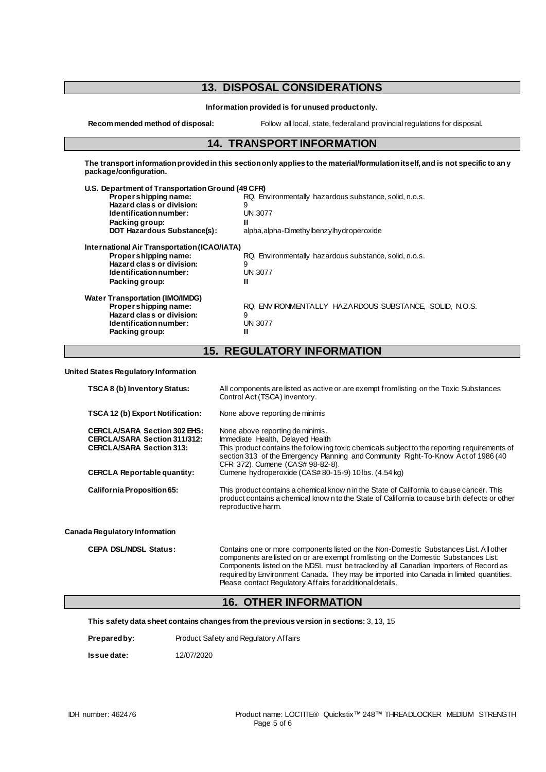# **13. DISPOSAL CONSIDERATIONS**

**Information provided is for unused product only.**

**Recommended method of disposal:** Follow all local, state, federal and provincial regulations for disposal.

#### **14. TRANSPORT INFORMATION**

**The transport information provided in this section only applies to the material/formulation itself, and is not specific to any package/configuration.**

| U.S. Department of Transportation Ground (49 CFR) |                                                        |
|---------------------------------------------------|--------------------------------------------------------|
| Propershipping name:                              | RQ, Environmentally hazardous substance, solid, n.o.s. |
| Hazard class or division:                         | 9                                                      |
| Identification number:                            | UN 3077                                                |
| Packing group:                                    | Ш                                                      |
| <b>DOT Hazardous Substance(s):</b>                | alpha, alpha-Dimethylbenzylhydroperoxide               |
| International Air Transportation (ICAO/IATA)      |                                                        |
| Proper shipping name:                             | RQ, Environmentally hazardous substance, solid, n.o.s. |
| Hazard class or division:                         | 9                                                      |
| Identification number:                            | <b>UN 3077</b>                                         |
| Packing group:                                    | Ш                                                      |
| <b>Water Transportation (IMO/IMDG)</b>            |                                                        |
| Propershipping name:                              | RQ. ENVIRONMENTALLY HAZARDOUS SUBSTANCE. SOLID. N.O.S. |
| Hazard class or division:                         | 9                                                      |
| Identification number:                            | <b>UN 3077</b>                                         |
| Packing group:                                    | Ш                                                      |
|                                                   |                                                        |

# **15. REGULATORY INFORMATION**

**United States Regulatory Information**

| TSCA 8 (b) Inventory Status:                                                                                  | All components are listed as active or are exempt from listing on the Toxic Substances<br>Control Act (TSCA) inventory.                                                                                                                                                                        |
|---------------------------------------------------------------------------------------------------------------|------------------------------------------------------------------------------------------------------------------------------------------------------------------------------------------------------------------------------------------------------------------------------------------------|
| TSCA 12 (b) Export Notification:                                                                              | None above reporting de minimis                                                                                                                                                                                                                                                                |
| <b>CERCLA/SARA Section 302 EHS:</b><br><b>CERCLA/SARA Section 311/312:</b><br><b>CERCLA/SARA Section 313:</b> | None above reporting de minimis.<br>Immediate Health, Delayed Health<br>This product contains the follow ing toxic chemicals subject to the reporting requirements of<br>section 313 of the Emergency Planning and Community Right-To-Know Act of 1986 (40<br>CFR 372). Cumene (CAS# 98-82-8). |
| <b>CERCLA Reportable quantity:</b>                                                                            | Cumene hydroperoxide (CAS#80-15-9) 10 lbs. (4.54 kg)                                                                                                                                                                                                                                           |
| California Proposition 65:                                                                                    | This product contains a chemical know n in the State of California to cause cancer. This<br>product contains a chemical known to the State of California to cause birth defects or other<br>reproductive harm.                                                                                 |
| ada Regulatory Information                                                                                    |                                                                                                                                                                                                                                                                                                |
| <b>CEPA DSL/NDSL Status:</b>                                                                                  | Contains one or more components listed on the Non-Domestic Substances List. All other<br>components are listed on or are exempt from listing on the Domestic Substances List.<br>Components listed on the NDSL must be tracked by all Canadian Importers of Record as                          |

#### **16. OTHER INFORMATION**

Please contact Regulatory Affairs for additional details.

**This safety data sheet contains changes from the previous version in sections:** 3, 13, 15

| Prepared by:<br>Product Safety and Regulatory Affairs |
|-------------------------------------------------------|
|-------------------------------------------------------|

**Issue date:** 12/07/2020

**Can** 

required by Environment Canada. They may be imported into Canada in limited quantities.